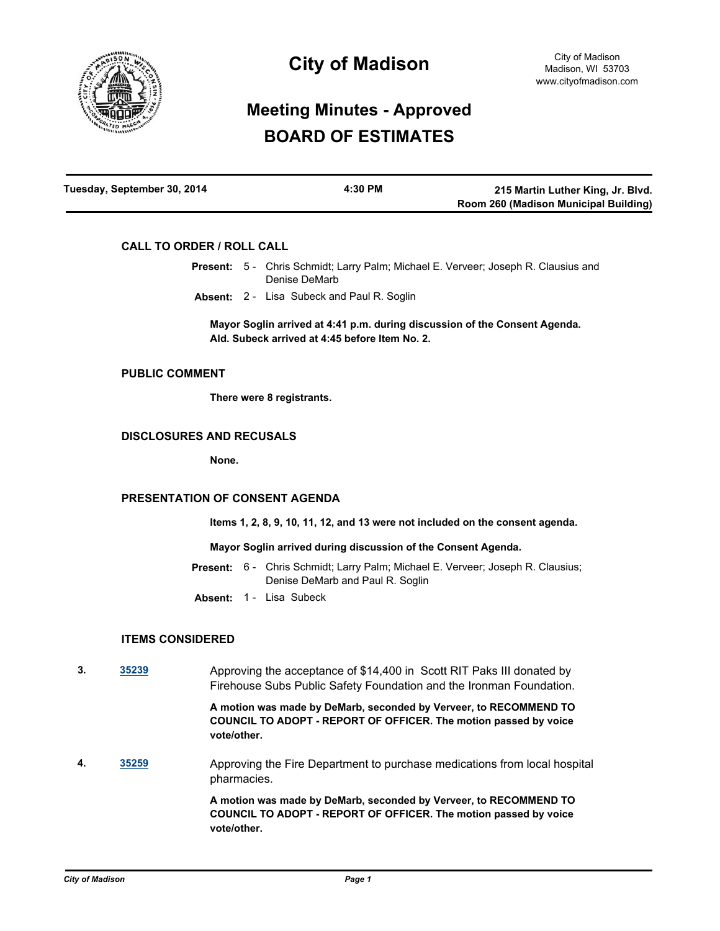

# **City of Madison**

# **Meeting Minutes - Approved BOARD OF ESTIMATES**

| Tuesday, September 30, 2014 | 4:30 PM | 215 Martin Luther King, Jr. Blvd.     |
|-----------------------------|---------|---------------------------------------|
|                             |         | Room 260 (Madison Municipal Building) |

## **CALL TO ORDER / ROLL CALL**

- Present: 5 Chris Schmidt; Larry Palm; Michael E. Verveer; Joseph R. Clausius and Denise DeMarb
	- **Absent:** 2 Lisa Subeck and Paul R. Soglin

**Mayor Soglin arrived at 4:41 p.m. during discussion of the Consent Agenda. Ald. Subeck arrived at 4:45 before Item No. 2.**

#### **PUBLIC COMMENT**

**There were 8 registrants.**

## **DISCLOSURES AND RECUSALS**

**None.**

## **PRESENTATION OF CONSENT AGENDA**

**Items 1, 2, 8, 9, 10, 11, 12, and 13 were not included on the consent agenda.**

#### **Mayor Soglin arrived during discussion of the Consent Agenda.**

- Present: 6 Chris Schmidt; Larry Palm; Michael E. Verveer; Joseph R. Clausius; Denise DeMarb and Paul R. Soglin
- **Absent:** 1 Lisa Subeck

## **ITEMS CONSIDERED**

**3. [35239](http://madison.legistar.com/gateway.aspx?m=l&id=/matter.aspx?key=38327)** Approving the acceptance of \$14,400 in Scott RIT Paks III donated by Firehouse Subs Public Safety Foundation and the Ironman Foundation.

> **A motion was made by DeMarb, seconded by Verveer, to RECOMMEND TO COUNCIL TO ADOPT - REPORT OF OFFICER. The motion passed by voice vote/other.**

**4. [35259](http://madison.legistar.com/gateway.aspx?m=l&id=/matter.aspx?key=38347)** Approving the Fire Department to purchase medications from local hospital pharmacies.

> **A motion was made by DeMarb, seconded by Verveer, to RECOMMEND TO COUNCIL TO ADOPT - REPORT OF OFFICER. The motion passed by voice vote/other.**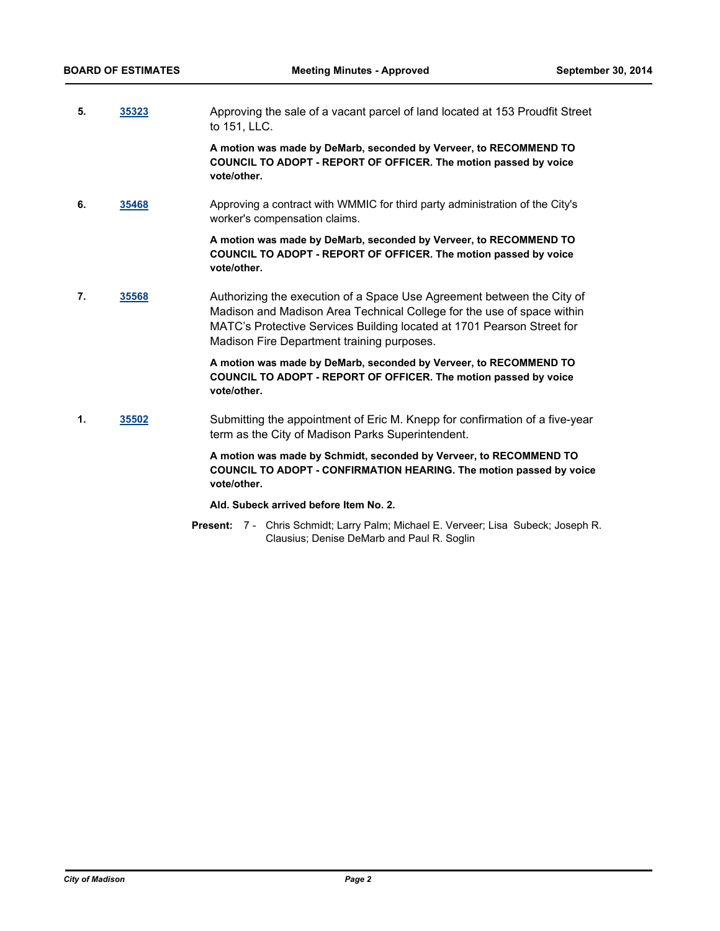**5. [35323](http://madison.legistar.com/gateway.aspx?m=l&id=/matter.aspx?key=38403)** Approving the sale of a vacant parcel of land located at 153 Proudfit Street to 151, LLC.

**A motion was made by DeMarb, seconded by Verveer, to RECOMMEND TO COUNCIL TO ADOPT - REPORT OF OFFICER. The motion passed by voice vote/other.**

**6. [35468](http://madison.legistar.com/gateway.aspx?m=l&id=/matter.aspx?key=38544)** Approving a contract with WMMIC for third party administration of the City's worker's compensation claims.

> **A motion was made by DeMarb, seconded by Verveer, to RECOMMEND TO COUNCIL TO ADOPT - REPORT OF OFFICER. The motion passed by voice vote/other.**

**7. [35568](http://madison.legistar.com/gateway.aspx?m=l&id=/matter.aspx?key=38626)** Authorizing the execution of a Space Use Agreement between the City of Madison and Madison Area Technical College for the use of space within MATC's Protective Services Building located at 1701 Pearson Street for Madison Fire Department training purposes.

> **A motion was made by DeMarb, seconded by Verveer, to RECOMMEND TO COUNCIL TO ADOPT - REPORT OF OFFICER. The motion passed by voice vote/other.**

**1. [35502](http://madison.legistar.com/gateway.aspx?m=l&id=/matter.aspx?key=38577)** Submitting the appointment of Eric M. Knepp for confirmation of a five-year term as the City of Madison Parks Superintendent.

> **A motion was made by Schmidt, seconded by Verveer, to RECOMMEND TO COUNCIL TO ADOPT - CONFIRMATION HEARING. The motion passed by voice vote/other.**

## **Ald. Subeck arrived before Item No. 2.**

Present: 7 - Chris Schmidt; Larry Palm; Michael E. Verveer; Lisa Subeck; Joseph R. Clausius; Denise DeMarb and Paul R. Soglin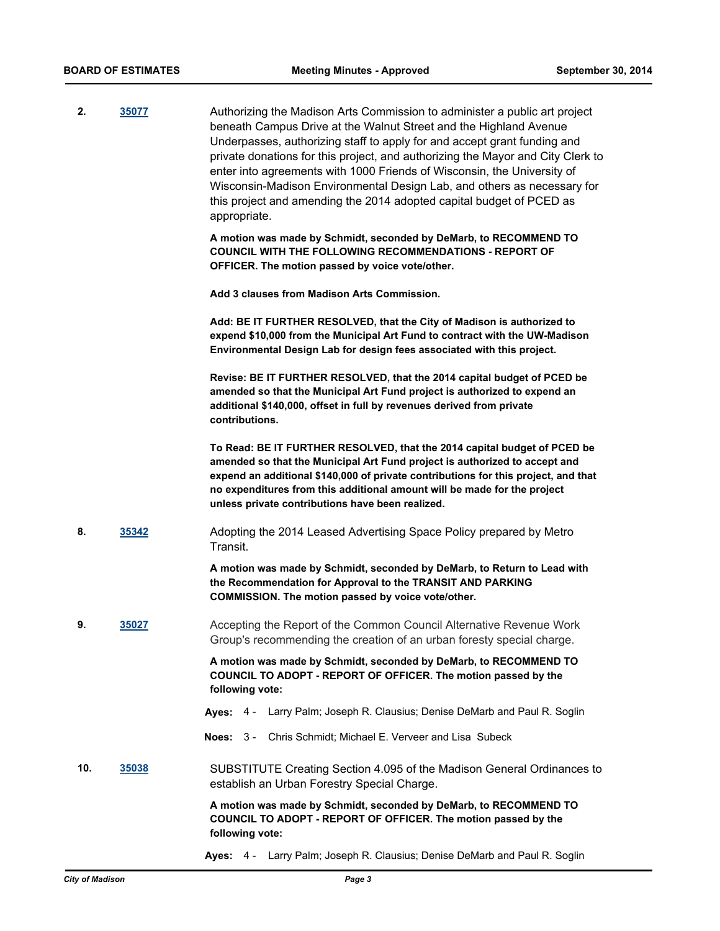| 2.  | 35077 | Authorizing the Madison Arts Commission to administer a public art project<br>beneath Campus Drive at the Walnut Street and the Highland Avenue<br>Underpasses, authorizing staff to apply for and accept grant funding and<br>private donations for this project, and authorizing the Mayor and City Clerk to<br>enter into agreements with 1000 Friends of Wisconsin, the University of<br>Wisconsin-Madison Environmental Design Lab, and others as necessary for<br>this project and amending the 2014 adopted capital budget of PCED as<br>appropriate. |
|-----|-------|--------------------------------------------------------------------------------------------------------------------------------------------------------------------------------------------------------------------------------------------------------------------------------------------------------------------------------------------------------------------------------------------------------------------------------------------------------------------------------------------------------------------------------------------------------------|
|     |       | A motion was made by Schmidt, seconded by DeMarb, to RECOMMEND TO<br><b>COUNCIL WITH THE FOLLOWING RECOMMENDATIONS - REPORT OF</b><br>OFFICER. The motion passed by voice vote/other.                                                                                                                                                                                                                                                                                                                                                                        |
|     |       | Add 3 clauses from Madison Arts Commission.                                                                                                                                                                                                                                                                                                                                                                                                                                                                                                                  |
|     |       | Add: BE IT FURTHER RESOLVED, that the City of Madison is authorized to<br>expend \$10,000 from the Municipal Art Fund to contract with the UW-Madison<br>Environmental Design Lab for design fees associated with this project.                                                                                                                                                                                                                                                                                                                              |
|     |       | Revise: BE IT FURTHER RESOLVED, that the 2014 capital budget of PCED be<br>amended so that the Municipal Art Fund project is authorized to expend an<br>additional \$140,000, offset in full by revenues derived from private<br>contributions.                                                                                                                                                                                                                                                                                                              |
|     |       | To Read: BE IT FURTHER RESOLVED, that the 2014 capital budget of PCED be<br>amended so that the Municipal Art Fund project is authorized to accept and<br>expend an additional \$140,000 of private contributions for this project, and that<br>no expenditures from this additional amount will be made for the project<br>unless private contributions have been realized.                                                                                                                                                                                 |
| 8.  | 35342 | Adopting the 2014 Leased Advertising Space Policy prepared by Metro<br>Transit.                                                                                                                                                                                                                                                                                                                                                                                                                                                                              |
|     |       | A motion was made by Schmidt, seconded by DeMarb, to Return to Lead with<br>the Recommendation for Approval to the TRANSIT AND PARKING<br>COMMISSION. The motion passed by voice vote/other.                                                                                                                                                                                                                                                                                                                                                                 |
| 9   | 35027 | Accepting the Report of the Common Council Alternative Revenue Work<br>Group's recommending the creation of an urban foresty special charge.                                                                                                                                                                                                                                                                                                                                                                                                                 |
|     |       | A motion was made by Schmidt, seconded by DeMarb, to RECOMMEND TO<br>COUNCIL TO ADOPT - REPORT OF OFFICER. The motion passed by the<br>following vote:                                                                                                                                                                                                                                                                                                                                                                                                       |
|     |       | Larry Palm; Joseph R. Clausius; Denise DeMarb and Paul R. Soglin<br>Ayes: $4 -$                                                                                                                                                                                                                                                                                                                                                                                                                                                                              |
|     |       | Chris Schmidt; Michael E. Verveer and Lisa Subeck<br>Noes: $3 -$                                                                                                                                                                                                                                                                                                                                                                                                                                                                                             |
| 10. | 35038 | SUBSTITUTE Creating Section 4.095 of the Madison General Ordinances to<br>establish an Urban Forestry Special Charge.                                                                                                                                                                                                                                                                                                                                                                                                                                        |
|     |       | A motion was made by Schmidt, seconded by DeMarb, to RECOMMEND TO<br>COUNCIL TO ADOPT - REPORT OF OFFICER. The motion passed by the<br>following vote:                                                                                                                                                                                                                                                                                                                                                                                                       |

**Ayes:** 4 - Larry Palm; Joseph R. Clausius; Denise DeMarb and Paul R. Soglin